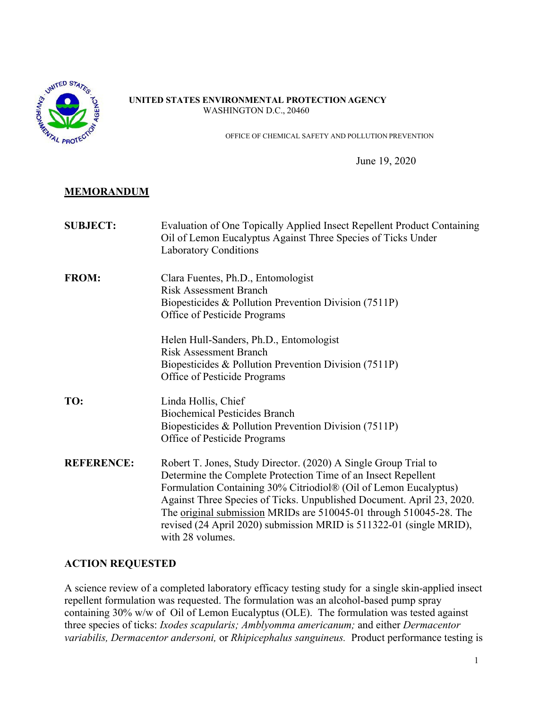

#### **UNITED STATES ENVIRONMENTAL PROTECTION AGENCY** WASHINGTON D.C., 20460

OFFICE OF CHEMICAL SAFETY AND POLLUTION PREVENTION

June 19, 2020

# **MEMORANDUM**

| <b>SUBJECT:</b>   | Evaluation of One Topically Applied Insect Repellent Product Containing<br>Oil of Lemon Eucalyptus Against Three Species of Ticks Under<br><b>Laboratory Conditions</b>                                                                                                                                                                                                                                                                        |
|-------------------|------------------------------------------------------------------------------------------------------------------------------------------------------------------------------------------------------------------------------------------------------------------------------------------------------------------------------------------------------------------------------------------------------------------------------------------------|
| <b>FROM:</b>      | Clara Fuentes, Ph.D., Entomologist<br><b>Risk Assessment Branch</b><br>Biopesticides & Pollution Prevention Division (7511P)<br>Office of Pesticide Programs                                                                                                                                                                                                                                                                                   |
|                   | Helen Hull-Sanders, Ph.D., Entomologist<br><b>Risk Assessment Branch</b><br>Biopesticides & Pollution Prevention Division (7511P)<br>Office of Pesticide Programs                                                                                                                                                                                                                                                                              |
| TO:               | Linda Hollis, Chief<br><b>Biochemical Pesticides Branch</b><br>Biopesticides & Pollution Prevention Division (7511P)<br>Office of Pesticide Programs                                                                                                                                                                                                                                                                                           |
| <b>REFERENCE:</b> | Robert T. Jones, Study Director. (2020) A Single Group Trial to<br>Determine the Complete Protection Time of an Insect Repellent<br>Formulation Containing 30% Citriodiol® (Oil of Lemon Eucalyptus)<br>Against Three Species of Ticks. Unpublished Document. April 23, 2020.<br>The original submission MRIDs are 510045-01 through 510045-28. The<br>revised (24 April 2020) submission MRID is 511322-01 (single MRID),<br>with 28 volumes. |

## **ACTION REQUESTED**

A science review of a completed laboratory efficacy testing study for a single skin-applied insect repellent formulation was requested. The formulation was an alcohol-based pump spray containing 30% w/w of Oil of Lemon Eucalyptus (OLE). The formulation was tested against three species of ticks: *Ixodes scapularis; Amblyomma americanum;* and either *Dermacentor variabilis, Dermacentor andersoni,* or *Rhipicephalus sanguineus.* Product performance testing is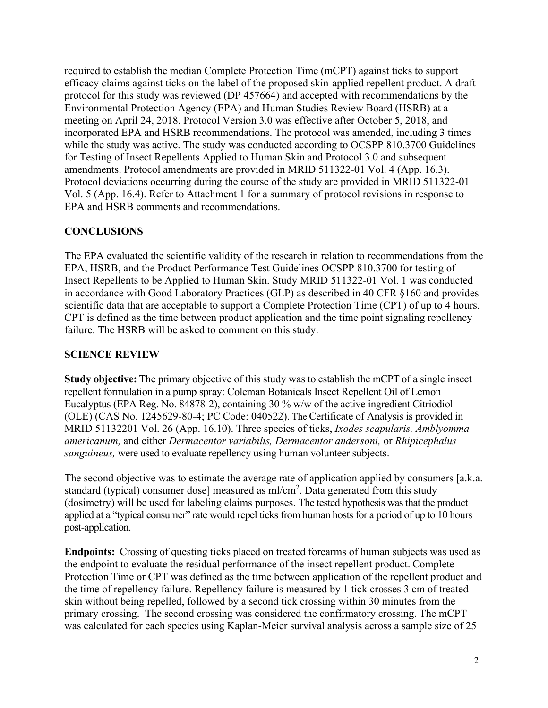required to establish the median Complete Protection Time (mCPT) against ticks to support efficacy claims against ticks on the label of the proposed skin-applied repellent product. A draft protocol for this study was reviewed (DP 457664) and accepted with recommendations by the Environmental Protection Agency (EPA) and Human Studies Review Board (HSRB) at a meeting on April 24, 2018. Protocol Version 3.0 was effective after October 5, 2018, and incorporated EPA and HSRB recommendations. The protocol was amended, including 3 times while the study was active. The study was conducted according to OCSPP 810.3700 Guidelines for Testing of Insect Repellents Applied to Human Skin and Protocol 3.0 and subsequent amendments. Protocol amendments are provided in MRID 511322-01 Vol. 4 (App. 16.3). Protocol deviations occurring during the course of the study are provided in MRID 511322-01 Vol. 5 (App. 16.4). Refer to Attachment 1 for a summary of protocol revisions in response to EPA and HSRB comments and recommendations.

# **CONCLUSIONS**

The EPA evaluated the scientific validity of the research in relation to recommendations from the EPA, HSRB, and the Product Performance Test Guidelines OCSPP 810.3700 for testing of Insect Repellents to be Applied to Human Skin. Study MRID 511322-01 Vol. 1 was conducted in accordance with Good Laboratory Practices (GLP) as described in 40 CFR §160 and provides scientific data that are acceptable to support a Complete Protection Time (CPT) of up to 4 hours. CPT is defined as the time between product application and the time point signaling repellency failure. The HSRB will be asked to comment on this study.

## **SCIENCE REVIEW**

**Study objective:** The primary objective of this study was to establish the mCPT of a single insect repellent formulation in a pump spray: Coleman Botanicals Insect Repellent Oil of Lemon Eucalyptus (EPA Reg. No. 84878-2), containing 30 % w/w of the active ingredient Citriodiol (OLE) (CAS No. 1245629-80-4; PC Code: 040522). The Certificate of Analysis is provided in MRID 51132201 Vol. 26 (App. 16.10). Three species of ticks, *Ixodes scapularis, Amblyomma americanum,* and either *Dermacentor variabilis, Dermacentor andersoni,* or *Rhipicephalus sanguineus,* were used to evaluate repellency using human volunteer subjects.

The second objective was to estimate the average rate of application applied by consumers [a.k.a. standard (typical) consumer dose] measured as  $ml/cm<sup>2</sup>$ . Data generated from this study (dosimetry) will be used for labeling claims purposes. The tested hypothesis was that the product applied at a "typical consumer" rate would repel ticks from human hosts for a period of up to 10 hours post-application.

**Endpoints:** Crossing of questing ticks placed on treated forearms of human subjects was used as the endpoint to evaluate the residual performance of the insect repellent product. Complete Protection Time or CPT was defined as the time between application of the repellent product and the time of repellency failure. Repellency failure is measured by 1 tick crosses 3 cm of treated skin without being repelled, followed by a second tick crossing within 30 minutes from the primary crossing. The second crossing was considered the confirmatory crossing. The mCPT was calculated for each species using Kaplan-Meier survival analysis across a sample size of 25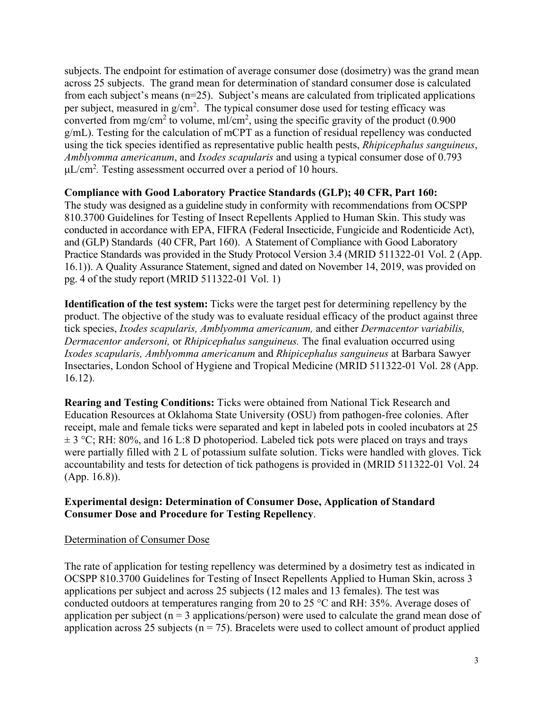subjects. The endpoint for estimation of average consumer dose (dosimetry) was the grand mean across 25 subjects. The grand mean for determination of standard consumer dose is calculated from each subject's means (n=25). Subject's means are calculated from triplicated applications per subject, measured in  $g/cm^2$ . The typical consumer dose used for testing efficacy was converted from mg/cm<sup>2</sup> to volume, ml/cm<sup>2</sup>, using the specific gravity of the product (0.900 g/mL). Testing for the calculation of mCPT as a function of residual repellency was conducted using the tick species identified as representative public health pests, *Rhipicephalus sanguineus*, *Amblyomma americanum*, and *Ixodes scapularis* and using a typical consumer dose of 0.793 μL/cm<sup>2</sup>. Testing assessment occurred over a period of 10 hours.

### **Compliance with Good Laboratory Practice Standards (GLP); 40 CFR, Part 160:**

The study was designed as a guideline study in conformity with recommendations from OCSPP 810.3700 Guidelines for Testing of Insect Repellents Applied to Human Skin. This study was conducted in accordance with EPA, FIFRA (Federal Insecticide, Fungicide and Rodenticide Act), and (GLP) Standards (40 CFR, Part 160). A Statement of Compliance with Good Laboratory Practice Standards was provided in the Study Protocol Version 3.4 (MRID 511322-01 Vol. 2 (App. 16.1)). A Quality Assurance Statement, signed and dated on November 14, 2019, was provided on pg. 4 of the study report (MRID 511322-01 Vol. 1)

**Identification of the test system:** Ticks were the target pest for determining repellency by the product. The objective of the study was to evaluate residual efficacy of the product against three tick species, *Ixodes scapularis, Amblyomma americanum,* and either *Dermacentor variabilis, Dermacentor andersoni,* or *Rhipicephalus sanguineus.* The final evaluation occurred using *Ixodes scapularis, Amblyomma americanum* and *Rhipicephalus sanguineus* at Barbara Sawyer Insectaries, London School of Hygiene and Tropical Medicine (MRID 511322-01 Vol. 28 (App. 16.12).

**Rearing and Testing Conditions:** Ticks were obtained from National Tick Research and Education Resources at Oklahoma State University (OSU) from pathogen-free colonies. After receipt, male and female ticks were separated and kept in labeled pots in cooled incubators at 25  $\pm$  3 °C; RH: 80%, and 16 L:8 D photoperiod. Labeled tick pots were placed on trays and trays were partially filled with 2 L of potassium sulfate solution. Ticks were handled with gloves. Tick accountability and tests for detection of tick pathogens is provided in (MRID 511322-01 Vol. 24 (App. 16.8)).

## **Experimental design: Determination of Consumer Dose, Application of Standard Consumer Dose and Procedure for Testing Repellency**.

### Determination of Consumer Dose

The rate of application for testing repellency was determined by a dosimetry test as indicated in OCSPP 810.3700 Guidelines for Testing of Insect Repellents Applied to Human Skin, across 3 applications per subject and across 25 subjects (12 males and 13 females). The test was conducted outdoors at temperatures ranging from 20 to 25 °C and RH: 35%. Average doses of application per subject ( $n = 3$  applications/person) were used to calculate the grand mean dose of application across 25 subjects ( $n = 75$ ). Bracelets were used to collect amount of product applied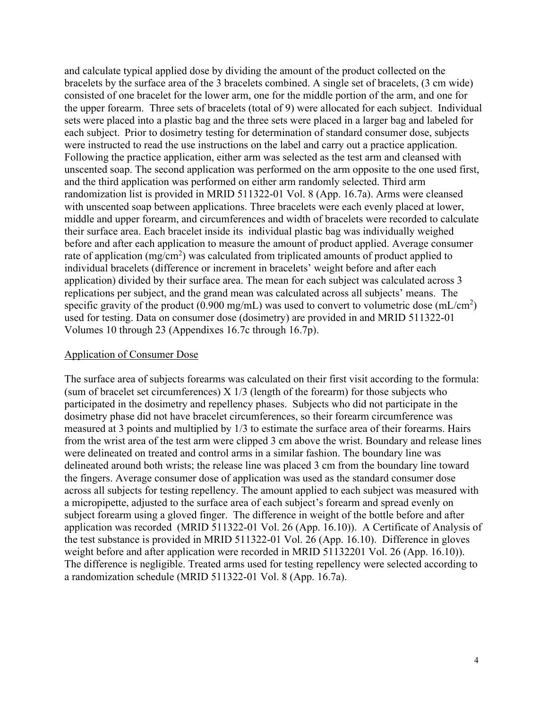and calculate typical applied dose by dividing the amount of the product collected on the bracelets by the surface area of the 3 bracelets combined. A single set of bracelets, (3 cm wide) consisted of one bracelet for the lower arm, one for the middle portion of the arm, and one for the upper forearm. Three sets of bracelets (total of 9) were allocated for each subject. Individual sets were placed into a plastic bag and the three sets were placed in a larger bag and labeled for each subject. Prior to dosimetry testing for determination of standard consumer dose, subjects were instructed to read the use instructions on the label and carry out a practice application. Following the practice application, either arm was selected as the test arm and cleansed with unscented soap. The second application was performed on the arm opposite to the one used first, and the third application was performed on either arm randomly selected. Third arm randomization list is provided in MRID 511322-01 Vol. 8 (App. 16.7a). Arms were cleansed with unscented soap between applications. Three bracelets were each evenly placed at lower, middle and upper forearm, and circumferences and width of bracelets were recorded to calculate their surface area. Each bracelet inside its individual plastic bag was individually weighed before and after each application to measure the amount of product applied. Average consumer rate of application (mg/cm<sup>2</sup>) was calculated from triplicated amounts of product applied to individual bracelets (difference or increment in bracelets' weight before and after each application) divided by their surface area. The mean for each subject was calculated across 3 replications per subject, and the grand mean was calculated across all subjects' means. The specific gravity of the product (0.900 mg/mL) was used to convert to volumetric dose (mL/cm<sup>2</sup>) used for testing. Data on consumer dose (dosimetry) are provided in and MRID 511322-01 Volumes 10 through 23 (Appendixes 16.7c through 16.7p).

#### Application of Consumer Dose

The surface area of subjects forearms was calculated on their first visit according to the formula: (sum of bracelet set circumferences)  $X$  1/3 (length of the forearm) for those subjects who participated in the dosimetry and repellency phases. Subjects who did not participate in the dosimetry phase did not have bracelet circumferences, so their forearm circumference was measured at 3 points and multiplied by 1/3 to estimate the surface area of their forearms. Hairs from the wrist area of the test arm were clipped 3 cm above the wrist. Boundary and release lines were delineated on treated and control arms in a similar fashion. The boundary line was delineated around both wrists; the release line was placed 3 cm from the boundary line toward the fingers. Average consumer dose of application was used as the standard consumer dose across all subjects for testing repellency. The amount applied to each subject was measured with a micropipette, adjusted to the surface area of each subject's forearm and spread evenly on subject forearm using a gloved finger. The difference in weight of the bottle before and after application was recorded (MRID 511322-01 Vol. 26 (App. 16.10)). A Certificate of Analysis of the test substance is provided in MRID 511322-01 Vol. 26 (App. 16.10). Difference in gloves weight before and after application were recorded in MRID 51132201 Vol. 26 (App. 16.10)). The difference is negligible. Treated arms used for testing repellency were selected according to a randomization schedule (MRID 511322-01 Vol. 8 (App. 16.7a).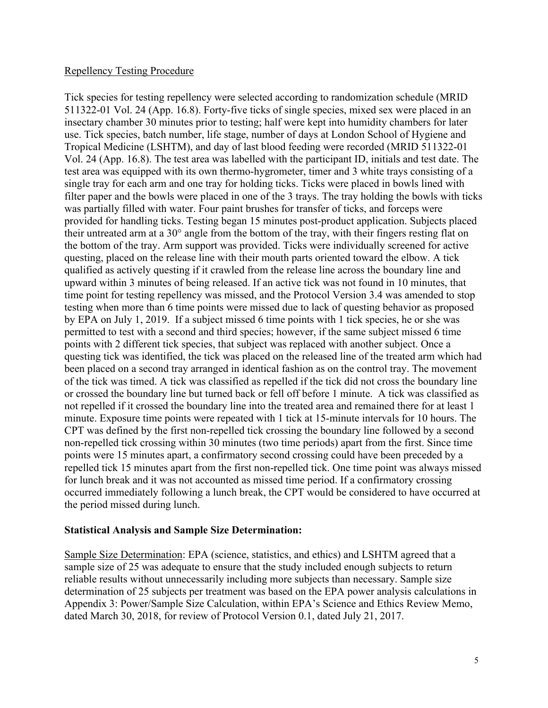### Repellency Testing Procedure

Tick species for testing repellency were selected according to randomization schedule (MRID 511322-01 Vol. 24 (App. 16.8). Forty-five ticks of single species, mixed sex were placed in an insectary chamber 30 minutes prior to testing; half were kept into humidity chambers for later use. Tick species, batch number, life stage, number of days at London School of Hygiene and Tropical Medicine (LSHTM), and day of last blood feeding were recorded (MRID 511322-01 Vol. 24 (App. 16.8). The test area was labelled with the participant ID, initials and test date. The test area was equipped with its own thermo-hygrometer, timer and 3 white trays consisting of a single tray for each arm and one tray for holding ticks. Ticks were placed in bowls lined with filter paper and the bowls were placed in one of the 3 trays. The tray holding the bowls with ticks was partially filled with water. Four paint brushes for transfer of ticks, and forceps were provided for handling ticks. Testing began 15 minutes post-product application. Subjects placed their untreated arm at a 30° angle from the bottom of the tray, with their fingers resting flat on the bottom of the tray. Arm support was provided. Ticks were individually screened for active questing, placed on the release line with their mouth parts oriented toward the elbow. A tick qualified as actively questing if it crawled from the release line across the boundary line and upward within 3 minutes of being released. If an active tick was not found in 10 minutes, that time point for testing repellency was missed, and the Protocol Version 3.4 was amended to stop testing when more than 6 time points were missed due to lack of questing behavior as proposed by EPA on July 1, 2019. If a subject missed 6 time points with 1 tick species, he or she was permitted to test with a second and third species; however, if the same subject missed 6 time points with 2 different tick species, that subject was replaced with another subject. Once a questing tick was identified, the tick was placed on the released line of the treated arm which had been placed on a second tray arranged in identical fashion as on the control tray. The movement of the tick was timed. A tick was classified as repelled if the tick did not cross the boundary line or crossed the boundary line but turned back or fell off before 1 minute. A tick was classified as not repelled if it crossed the boundary line into the treated area and remained there for at least 1 minute. Exposure time points were repeated with 1 tick at 15-minute intervals for 10 hours. The CPT was defined by the first non-repelled tick crossing the boundary line followed by a second non-repelled tick crossing within 30 minutes (two time periods) apart from the first. Since time points were 15 minutes apart, a confirmatory second crossing could have been preceded by a repelled tick 15 minutes apart from the first non-repelled tick. One time point was always missed for lunch break and it was not accounted as missed time period. If a confirmatory crossing occurred immediately following a lunch break, the CPT would be considered to have occurred at the period missed during lunch.

### **Statistical Analysis and Sample Size Determination:**

Sample Size Determination: EPA (science, statistics, and ethics) and LSHTM agreed that a sample size of 25 was adequate to ensure that the study included enough subjects to return reliable results without unnecessarily including more subjects than necessary. Sample size determination of 25 subjects per treatment was based on the EPA power analysis calculations in Appendix 3: Power/Sample Size Calculation, within EPA's Science and Ethics Review Memo, dated March 30, 2018, for review of Protocol Version 0.1, dated July 21, 2017.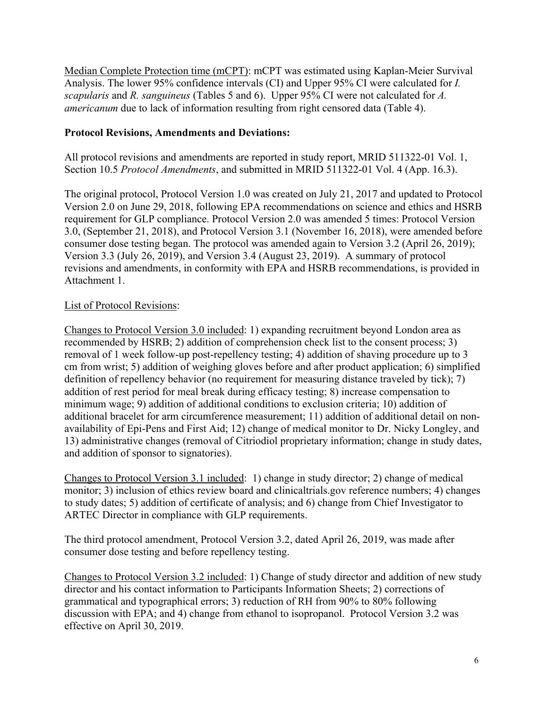Median Complete Protection time (mCPT): mCPT was estimated using Kaplan-Meier Survival Analysis. The lower 95% confidence intervals (CI) and Upper 95% CI were calculated for *I. scapularis* and *R. sanguineus* (Tables 5 and 6). Upper 95% CI were not calculated for *A. americanum* due to lack of information resulting from right censored data (Table 4).

## **Protocol Revisions, Amendments and Deviations:**

All protocol revisions and amendments are reported in study report, MRID 511322-01 Vol. 1, Section 10.5 *Protocol Amendments*, and submitted in MRID 511322-01 Vol. 4 (App. 16.3).

The original protocol, Protocol Version 1.0 was created on July 21, 2017 and updated to Protocol Version 2.0 on June 29, 2018, following EPA recommendations on science and ethics and HSRB requirement for GLP compliance. Protocol Version 2.0 was amended 5 times: Protocol Version 3.0, (September 21, 2018), and Protocol Version 3.1 (November 16, 2018), were amended before consumer dose testing began. The protocol was amended again to Version 3.2 (April 26, 2019); Version 3.3 (July 26, 2019), and Version 3.4 (August 23, 2019). A summary of protocol revisions and amendments, in conformity with EPA and HSRB recommendations, is provided in Attachment 1.

# List of Protocol Revisions:

Changes to Protocol Version 3.0 included: 1) expanding recruitment beyond London area as recommended by HSRB; 2) addition of comprehension check list to the consent process; 3) removal of 1 week follow-up post-repellency testing; 4) addition of shaving procedure up to 3 cm from wrist; 5) addition of weighing gloves before and after product application; 6) simplified definition of repellency behavior (no requirement for measuring distance traveled by tick); 7) addition of rest period for meal break during efficacy testing; 8) increase compensation to minimum wage; 9) addition of additional conditions to exclusion criteria; 10) addition of additional bracelet for arm circumference measurement; 11) addition of additional detail on nonavailability of Epi-Pens and First Aid; 12) change of medical monitor to Dr. Nicky Longley, and 13) administrative changes (removal of Citriodiol proprietary information; change in study dates, and addition of sponsor to signatories).

Changes to Protocol Version 3.1 included: 1) change in study director; 2) change of medical monitor; 3) inclusion of ethics review board and clinicaltrials.gov reference numbers; 4) changes to study dates; 5) addition of certificate of analysis; and 6) change from Chief Investigator to ARTEC Director in compliance with GLP requirements.

The third protocol amendment, Protocol Version 3.2, dated April 26, 2019, was made after consumer dose testing and before repellency testing.

Changes to Protocol Version 3.2 included: 1) Change of study director and addition of new study director and his contact information to Participants Information Sheets; 2) corrections of grammatical and typographical errors; 3) reduction of RH from 90% to 80% following discussion with EPA; and 4) change from ethanol to isopropanol. Protocol Version 3.2 was effective on April 30, 2019.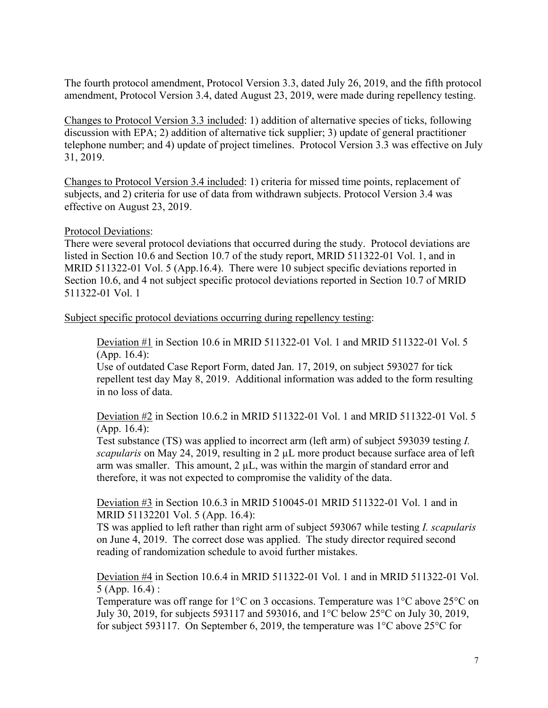The fourth protocol amendment, Protocol Version 3.3, dated July 26, 2019, and the fifth protocol amendment, Protocol Version 3.4, dated August 23, 2019, were made during repellency testing.

Changes to Protocol Version 3.3 included: 1) addition of alternative species of ticks, following discussion with EPA; 2) addition of alternative tick supplier; 3) update of general practitioner telephone number; and 4) update of project timelines. Protocol Version 3.3 was effective on July 31, 2019.

Changes to Protocol Version 3.4 included: 1) criteria for missed time points, replacement of subjects, and 2) criteria for use of data from withdrawn subjects. Protocol Version 3.4 was effective on August 23, 2019.

### Protocol Deviations:

There were several protocol deviations that occurred during the study. Protocol deviations are listed in Section 10.6 and Section 10.7 of the study report, MRID 511322-01 Vol. 1, and in MRID 511322-01 Vol. 5 (App.16.4). There were 10 subject specific deviations reported in Section 10.6, and 4 not subject specific protocol deviations reported in Section 10.7 of MRID 511322-01 Vol. 1

Subject specific protocol deviations occurring during repellency testing:

Deviation #1 in Section 10.6 in MRID 511322-01 Vol. 1 and MRID 511322-01 Vol. 5 (App. 16.4):

Use of outdated Case Report Form, dated Jan. 17, 2019, on subject 593027 for tick repellent test day May 8, 2019. Additional information was added to the form resulting in no loss of data.

Deviation #2 in Section 10.6.2 in MRID 511322-01 Vol. 1 and MRID 511322-01 Vol. 5 (App. 16.4):

Test substance (TS) was applied to incorrect arm (left arm) of subject 593039 testing *I. scapularis* on May 24, 2019, resulting in 2 µL more product because surface area of left arm was smaller. This amount,  $2 \mu L$ , was within the margin of standard error and therefore, it was not expected to compromise the validity of the data.

Deviation #3 in Section 10.6.3 in MRID 510045-01 MRID 511322-01 Vol. 1 and in MRID 51132201 Vol. 5 (App. 16.4):

TS was applied to left rather than right arm of subject 593067 while testing *I. scapularis* on June 4, 2019. The correct dose was applied. The study director required second reading of randomization schedule to avoid further mistakes.

Deviation #4 in Section 10.6.4 in MRID 511322-01 Vol. 1 and in MRID 511322-01 Vol. 5 (App. 16.4) :

Temperature was off range for  $1^{\circ}$ C on 3 occasions. Temperature was  $1^{\circ}$ C above 25<sup> $\circ$ </sup>C on July 30, 2019, for subjects 593117 and 593016, and 1°C below 25°C on July 30, 2019, for subject 593117. On September 6, 2019, the temperature was 1°C above 25°C for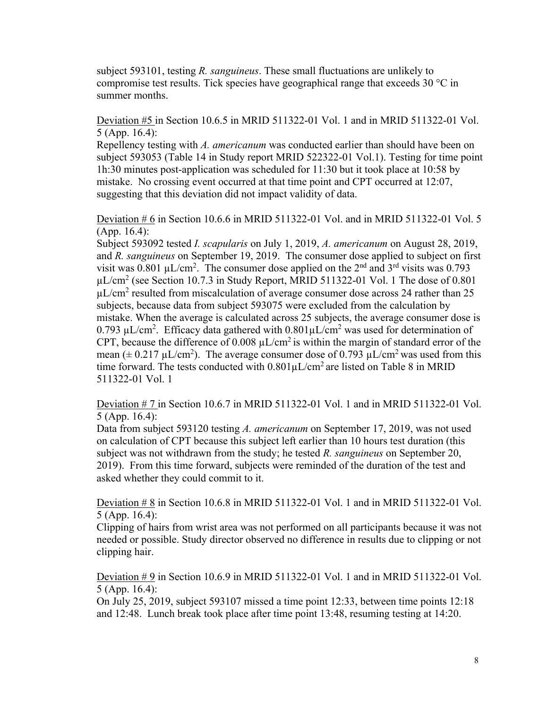subject 593101, testing *R. sanguineus*. These small fluctuations are unlikely to compromise test results. Tick species have geographical range that exceeds  $30^{\circ}$ C in summer months.

Deviation #5 in Section 10.6.5 in MRID 511322-01 Vol. 1 and in MRID 511322-01 Vol. 5 (App. 16.4):

Repellency testing with *A. americanum* was conducted earlier than should have been on subject 593053 (Table 14 in Study report MRID 522322-01 Vol.1). Testing for time point 1h:30 minutes post-application was scheduled for 11:30 but it took place at 10:58 by mistake. No crossing event occurred at that time point and CPT occurred at 12:07, suggesting that this deviation did not impact validity of data.

Deviation # 6 in Section 10.6.6 in MRID 511322-01 Vol. and in MRID 511322-01 Vol. 5 (App. 16.4):

Subject 593092 tested *I. scapularis* on July 1, 2019, *A. americanum* on August 28, 2019, and *R. sanguineus* on September 19, 2019. The consumer dose applied to subject on first visit was 0.801  $\mu$ L/cm<sup>2</sup>. The consumer dose applied on the 2<sup>nd</sup> and 3<sup>rd</sup> visits was 0.793 µL/cm<sup>2</sup> (see Section 10.7.3 in Study Report, MRID 511322-01 Vol. 1 The dose of 0.801  $\mu$ L/cm<sup>2</sup> resulted from miscalculation of average consumer dose across 24 rather than 25 subjects, because data from subject 593075 were excluded from the calculation by mistake. When the average is calculated across 25 subjects, the average consumer dose is 0.793 µL/cm<sup>2</sup>. Efficacy data gathered with  $0.801 \mu L/cm^2$  was used for determination of CPT, because the difference of 0.008  $\mu$ L/cm<sup>2</sup> is within the margin of standard error of the mean ( $\pm$  0.217 µL/cm<sup>2</sup>). The average consumer dose of 0.793 µL/cm<sup>2</sup> was used from this time forward. The tests conducted with  $0.801 \mu L/cm^2$  are listed on Table 8 in MRID 511322-01 Vol. 1

Deviation # 7 in Section 10.6.7 in MRID 511322-01 Vol. 1 and in MRID 511322-01 Vol. 5 (App. 16.4):

Data from subject 593120 testing *A. americanum* on September 17, 2019, was not used on calculation of CPT because this subject left earlier than 10 hours test duration (this subject was not withdrawn from the study; he tested *R. sanguineus* on September 20, 2019). From this time forward, subjects were reminded of the duration of the test and asked whether they could commit to it.

Deviation # 8 in Section 10.6.8 in MRID 511322-01 Vol. 1 and in MRID 511322-01 Vol. 5 (App. 16.4):

Clipping of hairs from wrist area was not performed on all participants because it was not needed or possible. Study director observed no difference in results due to clipping or not clipping hair.

Deviation # 9 in Section 10.6.9 in MRID 511322-01 Vol. 1 and in MRID 511322-01 Vol. 5 (App. 16.4):

On July 25, 2019, subject 593107 missed a time point 12:33, between time points 12:18 and 12:48. Lunch break took place after time point 13:48, resuming testing at 14:20.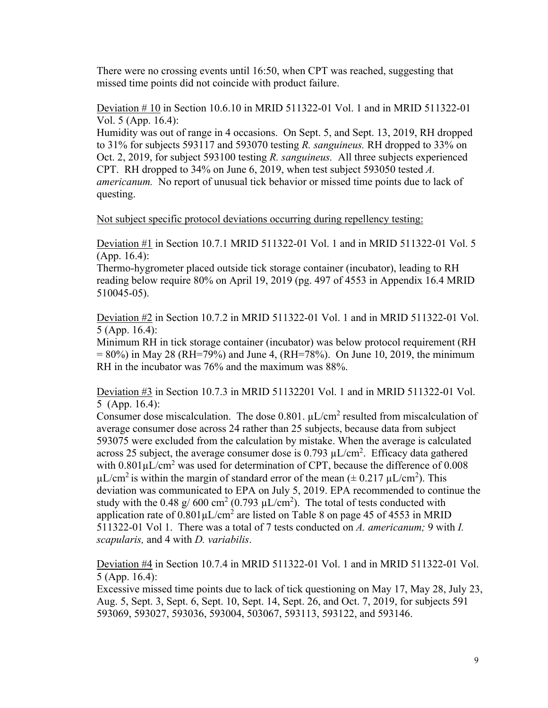There were no crossing events until 16:50, when CPT was reached, suggesting that missed time points did not coincide with product failure.

Deviation # 10 in Section 10.6.10 in MRID 511322-01 Vol. 1 and in MRID 511322-01 Vol. 5 (App. 16.4):

Humidity was out of range in 4 occasions. On Sept. 5, and Sept. 13, 2019, RH dropped to 31% for subjects 593117 and 593070 testing *R. sanguineus.* RH dropped to 33% on Oct. 2, 2019, for subject 593100 testing *R. sanguineus.* All three subjects experienced CPT. RH dropped to 34% on June 6, 2019, when test subject 593050 tested *A. americanum.* No report of unusual tick behavior or missed time points due to lack of questing.

Not subject specific protocol deviations occurring during repellency testing:

Deviation #1 in Section 10.7.1 MRID 511322-01 Vol. 1 and in MRID 511322-01 Vol. 5 (App. 16.4):

Thermo-hygrometer placed outside tick storage container (incubator), leading to RH reading below require 80% on April 19, 2019 (pg. 497 of 4553 in Appendix 16.4 MRID 510045-05).

Deviation #2 in Section 10.7.2 in MRID 511322-01 Vol. 1 and in MRID 511322-01 Vol. 5 (App. 16.4):

Minimum RH in tick storage container (incubator) was below protocol requirement (RH  $= 80\%$ ) in May 28 (RH=79%) and June 4, (RH=78%). On June 10, 2019, the minimum RH in the incubator was 76% and the maximum was 88%.

Deviation #3 in Section 10.7.3 in MRID 51132201 Vol. 1 and in MRID 511322-01 Vol. 5 (App. 16.4):

Consumer dose miscalculation. The dose  $0.801$ .  $\mu$ L/cm<sup>2</sup> resulted from miscalculation of average consumer dose across 24 rather than 25 subjects, because data from subject 593075 were excluded from the calculation by mistake. When the average is calculated across 25 subject, the average consumer dose is  $0.793 \mu L/cm^2$ . Efficacy data gathered with  $0.801 \mu L/cm^2$  was used for determination of CPT, because the difference of  $0.008$  $\mu L/cm^2$  is within the margin of standard error of the mean ( $\pm$  0.217  $\mu L/cm^2$ ). This deviation was communicated to EPA on July 5, 2019. EPA recommended to continue the study with the 0.48 g/ 600 cm<sup>2</sup> (0.793  $\mu$ L/cm<sup>2</sup>). The total of tests conducted with application rate of  $0.801 \mu L/cm^2$  are listed on Table 8 on page 45 of 4553 in MRID 511322-01 Vol 1. There was a total of 7 tests conducted on *A. americanum;* 9 with *I. scapularis,* and 4 with *D. variabilis*.

Deviation #4 in Section 10.7.4 in MRID 511322-01 Vol. 1 and in MRID 511322-01 Vol. 5 (App. 16.4):

Excessive missed time points due to lack of tick questioning on May 17, May 28, July 23, Aug. 5, Sept. 3, Sept. 6, Sept. 10, Sept. 14, Sept. 26, and Oct. 7, 2019, for subjects 591 593069, 593027, 593036, 593004, 503067, 593113, 593122, and 593146.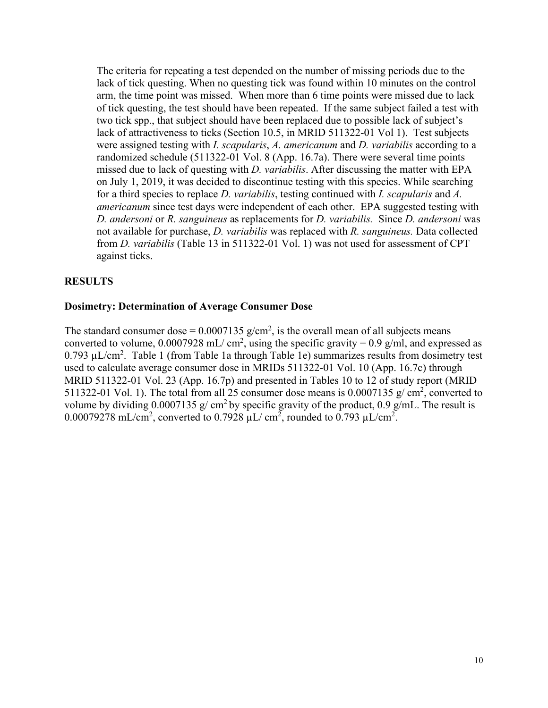The criteria for repeating a test depended on the number of missing periods due to the lack of tick questing. When no questing tick was found within 10 minutes on the control arm, the time point was missed. When more than 6 time points were missed due to lack of tick questing, the test should have been repeated. If the same subject failed a test with two tick spp., that subject should have been replaced due to possible lack of subject's lack of attractiveness to ticks (Section 10.5, in MRID 511322-01 Vol 1). Test subjects were assigned testing with *I. scapularis*, *A. americanum* and *D. variabilis* according to a randomized schedule (511322-01 Vol. 8 (App. 16.7a). There were several time points missed due to lack of questing with *D. variabilis*. After discussing the matter with EPA on July 1, 2019, it was decided to discontinue testing with this species. While searching for a third species to replace *D. variabilis*, testing continued with *I. scapularis* and *A. americanum* since test days were independent of each other. EPA suggested testing with *D. andersoni* or *R. sanguineus* as replacements for *D. variabilis.* Since *D. andersoni* was not available for purchase, *D. variabilis* was replaced with *R. sanguineus.* Data collected from *D. variabilis* (Table 13 in 511322-01 Vol. 1) was not used for assessment of CPT against ticks.

### **RESULTS**

#### **Dosimetry: Determination of Average Consumer Dose**

The standard consumer dose =  $0.0007135$  g/cm<sup>2</sup>, is the overall mean of all subjects means converted to volume,  $0.0007928$  mL/cm<sup>2</sup>, using the specific gravity = 0.9 g/ml, and expressed as  $0.793 \mu L/cm^2$ . Table 1 (from Table 1a through Table 1e) summarizes results from dosimetry test used to calculate average consumer dose in MRIDs 511322-01 Vol. 10 (App. 16.7c) through MRID 511322-01 Vol. 23 (App. 16.7p) and presented in Tables 10 to 12 of study report (MRID 511322-01 Vol. 1). The total from all 25 consumer dose means is  $0.0007135$  g/ cm<sup>2</sup>, converted to volume by dividing 0.0007135 g/ cm<sup>2</sup> by specific gravity of the product, 0.9 g/mL. The result is 0.00079278 mL/cm<sup>2</sup>, converted to 0.7928  $\mu$ L/cm<sup>2</sup>, rounded to 0.793  $\mu$ L/cm<sup>2</sup>.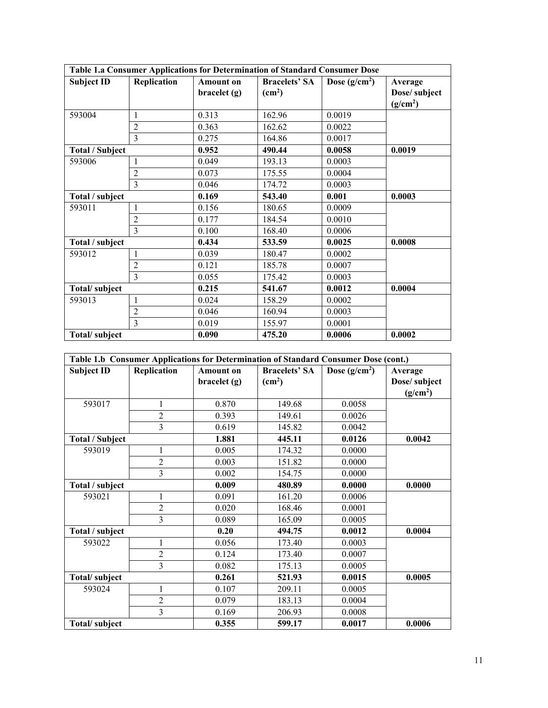|                        |                |                  | Table 1.a Consumer Applications for Determination of Standard Consumer Dose |                |                      |
|------------------------|----------------|------------------|-----------------------------------------------------------------------------|----------------|----------------------|
| <b>Subject ID</b>      | Replication    | <b>Amount on</b> | <b>Bracelets' SA</b>                                                        | Dose $(g/cm2)$ | Average              |
|                        |                | braclet(g)       | (cm <sup>2</sup> )                                                          |                | Dose/ subject        |
|                        |                |                  |                                                                             |                | (g/cm <sup>2</sup> ) |
| 593004                 | 1              | 0.313            | 162.96                                                                      | 0.0019         |                      |
|                        | $\overline{2}$ | 0.363            | 162.62                                                                      | 0.0022         |                      |
|                        | $\overline{3}$ | 0.275            | 164.86                                                                      | 0.0017         |                      |
| <b>Total / Subject</b> |                | 0.952            | 490.44                                                                      | 0.0058         | 0.0019               |
| 593006                 | 1              | 0.049            | 193.13                                                                      | 0.0003         |                      |
|                        | 2              | 0.073            | 175.55                                                                      | 0.0004         |                      |
|                        | 3              | 0.046            | 174.72                                                                      | 0.0003         |                      |
| Total / subject        |                | 0.169            | 543.40                                                                      | 0.001          | 0.0003               |
| 593011                 | 1              | 0.156            | 180.65                                                                      | 0.0009         |                      |
|                        | $\overline{2}$ | 0.177            | 184.54                                                                      | 0.0010         |                      |
|                        | 3              | 0.100            | 168.40                                                                      | 0.0006         |                      |
| Total / subject        |                | 0.434            | 533.59                                                                      | 0.0025         | 0.0008               |
| 593012                 | 1              | 0.039            | 180.47                                                                      | 0.0002         |                      |
|                        | $\overline{2}$ | 0.121            | 185.78                                                                      | 0.0007         |                      |
|                        | 3              | 0.055            | 175.42                                                                      | 0.0003         |                      |
| Total/subject          |                | 0.215            | 541.67                                                                      | 0.0012         | 0.0004               |
| 593013                 | 1              | 0.024            | 158.29                                                                      | 0.0002         |                      |
|                        | $\overline{c}$ | 0.046            | 160.94                                                                      | 0.0003         |                      |
|                        | $\overline{3}$ | 0.019            | 155.97                                                                      | 0.0001         |                      |
| Total/subject          |                | 0.090            | 475.20                                                                      | 0.0006         | 0.0002               |

|                        | Table 1.b Consumer Applications for Determination of Standard Consumer Dose (cont.) |                  |                      |                |                      |  |  |  |  |
|------------------------|-------------------------------------------------------------------------------------|------------------|----------------------|----------------|----------------------|--|--|--|--|
| <b>Subject ID</b>      | Replication                                                                         | <b>Amount on</b> | <b>Bracelets' SA</b> | Dose $(g/cm2)$ | Average              |  |  |  |  |
|                        |                                                                                     | braclet(g)       | (cm <sup>2</sup> )   |                | Dose/ subject        |  |  |  |  |
|                        |                                                                                     |                  |                      |                | (g/cm <sup>2</sup> ) |  |  |  |  |
| 593017                 | $\mathbf{1}$                                                                        | 0.870            | 149.68               | 0.0058         |                      |  |  |  |  |
|                        | $\overline{2}$                                                                      | 0.393            | 149.61               | 0.0026         |                      |  |  |  |  |
|                        | $\overline{3}$                                                                      | 0.619            | 145.82               | 0.0042         |                      |  |  |  |  |
| <b>Total / Subject</b> |                                                                                     | 1.881            | 445.11               | 0.0126         | 0.0042               |  |  |  |  |
| 593019                 | $\mathbf{1}$                                                                        | 0.005            | 174.32               | 0.0000         |                      |  |  |  |  |
|                        | $\overline{2}$                                                                      | 0.003            | 151.82               | 0.0000         |                      |  |  |  |  |
|                        | 3                                                                                   | 0.002            | 154.75               | 0.0000         |                      |  |  |  |  |
| Total / subject        |                                                                                     | 0.009            | 480.89               | 0.0000         | 0.0000               |  |  |  |  |
| 593021                 | 1                                                                                   | 0.091            | 161.20               | 0.0006         |                      |  |  |  |  |
|                        | $\overline{2}$                                                                      | 0.020            | 168.46               | 0.0001         |                      |  |  |  |  |
|                        | 3                                                                                   | 0.089            | 165.09               | 0.0005         |                      |  |  |  |  |
| Total / subject        |                                                                                     | 0.20             | 494.75               | 0.0012         | 0.0004               |  |  |  |  |
| 593022                 | $\mathbf{1}$                                                                        | 0.056            | 173.40               | 0.0003         |                      |  |  |  |  |
|                        | $\overline{2}$                                                                      | 0.124            | 173.40               | 0.0007         |                      |  |  |  |  |
|                        | 3                                                                                   | 0.082            | 175.13               | 0.0005         |                      |  |  |  |  |
| Total/subject          |                                                                                     | 0.261            | 521.93               | 0.0015         | 0.0005               |  |  |  |  |
| 593024                 | 1                                                                                   | 0.107            | 209.11               | 0.0005         |                      |  |  |  |  |
|                        | $\overline{2}$                                                                      | 0.079            | 183.13               | 0.0004         |                      |  |  |  |  |
|                        | 3                                                                                   | 0.169            | 206.93               | 0.0008         |                      |  |  |  |  |
| Total/subject          |                                                                                     | 0.355            | 599.17               | 0.0017         | 0.0006               |  |  |  |  |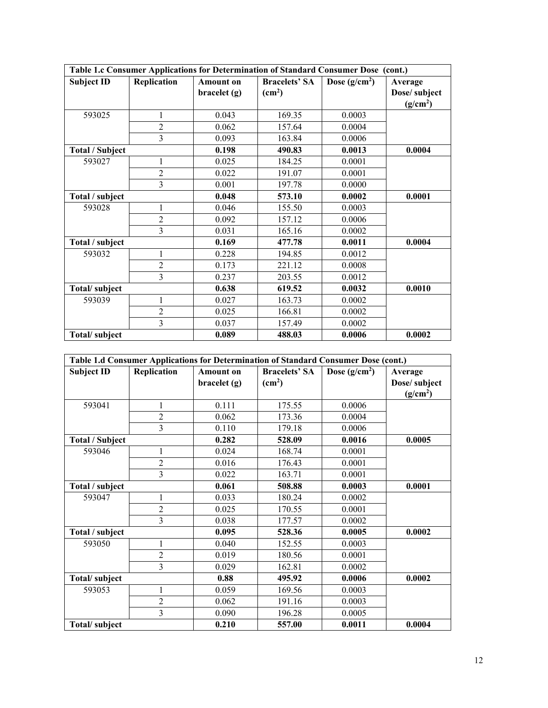|                        |                |                  | Table 1.c Consumer Applications for Determination of Standard Consumer Dose (cont.) |                |                      |
|------------------------|----------------|------------------|-------------------------------------------------------------------------------------|----------------|----------------------|
| <b>Subject ID</b>      | Replication    | <b>Amount on</b> | <b>Bracelets' SA</b>                                                                | Dose $(g/cm2)$ | Average              |
|                        |                | braclet(g)       | (cm <sup>2</sup> )                                                                  |                | Dose/ subject        |
|                        |                |                  |                                                                                     |                | (g/cm <sup>2</sup> ) |
| 593025                 | 1              | 0.043            | 169.35                                                                              | 0.0003         |                      |
|                        | $\overline{2}$ | 0.062            | 157.64                                                                              | 0.0004         |                      |
|                        | 3              | 0.093            | 163.84                                                                              | 0.0006         |                      |
| <b>Total / Subject</b> |                | 0.198            | 490.83                                                                              | 0.0013         | 0.0004               |
| 593027                 | 1              | 0.025            | 184.25                                                                              | 0.0001         |                      |
|                        | $\overline{2}$ | 0.022            | 191.07                                                                              | 0.0001         |                      |
|                        | 3              | 0.001            | 197.78                                                                              | 0.0000         |                      |
| Total / subject        |                | 0.048            | 573.10                                                                              | 0.0002         | 0.0001               |
| 593028                 | 1              | 0.046            | 155.50                                                                              | 0.0003         |                      |
|                        | $\overline{2}$ | 0.092            | 157.12                                                                              | 0.0006         |                      |
|                        | 3              | 0.031            | 165.16                                                                              | 0.0002         |                      |
| Total / subject        |                | 0.169            | 477.78                                                                              | 0.0011         | 0.0004               |
| 593032                 | 1              | 0.228            | 194.85                                                                              | 0.0012         |                      |
|                        | $\overline{2}$ | 0.173            | 221.12                                                                              | 0.0008         |                      |
|                        | 3              | 0.237            | 203.55                                                                              | 0.0012         |                      |
| Total/subject          |                | 0.638            | 619.52                                                                              | 0.0032         | 0.0010               |
| 593039                 | 1              | 0.027            | 163.73                                                                              | 0.0002         |                      |
|                        | $\overline{2}$ | 0.025            | 166.81                                                                              | 0.0002         |                      |
|                        | $\overline{3}$ | 0.037            | 157.49                                                                              | 0.0002         |                      |
| Total/subject          |                | 0.089            | 488.03                                                                              | 0.0006         | 0.0002               |

|                        |                |                  | Table 1.d Consumer Applications for Determination of Standard Consumer Dose (cont.) |                |                      |
|------------------------|----------------|------------------|-------------------------------------------------------------------------------------|----------------|----------------------|
| <b>Subject ID</b>      | Replication    | <b>Amount on</b> | <b>Bracelets' SA</b>                                                                | Dose $(g/cm2)$ | Average              |
|                        |                | braclet(g)       | (cm <sup>2</sup> )                                                                  |                | Dose/subject         |
|                        |                |                  |                                                                                     |                | (g/cm <sup>2</sup> ) |
| 593041                 | 1              | 0.111            | 175.55                                                                              | 0.0006         |                      |
|                        | $\overline{2}$ | 0.062            | 173.36                                                                              | 0.0004         |                      |
|                        | 3              | 0.110            | 179.18                                                                              | 0.0006         |                      |
| <b>Total / Subject</b> |                | 0.282            | 528.09                                                                              | 0.0016         | 0.0005               |
| 593046                 | 1              | 0.024            | 168.74                                                                              | 0.0001         |                      |
|                        | $\overline{2}$ | 0.016            | 176.43                                                                              | 0.0001         |                      |
|                        | 3              | 0.022            | 163.71                                                                              | 0.0001         |                      |
| Total / subject        |                | 0.061            | 508.88                                                                              | 0.0003         | 0.0001               |
| 593047                 | 1              | 0.033            | 180.24                                                                              | 0.0002         |                      |
|                        | $\overline{2}$ | 0.025            | 170.55                                                                              | 0.0001         |                      |
|                        | 3              | 0.038            | 177.57                                                                              | 0.0002         |                      |
| Total / subject        |                | 0.095            | 528.36                                                                              | 0.0005         | 0.0002               |
| 593050                 | 1              | 0.040            | 152.55                                                                              | 0.0003         |                      |
|                        | $\overline{2}$ | 0.019            | 180.56                                                                              | 0.0001         |                      |
|                        | 3              | 0.029            | 162.81                                                                              | 0.0002         |                      |
| Total/subject          |                | 0.88             | 495.92                                                                              | 0.0006         | 0.0002               |
| 593053                 | 1              | 0.059            | 169.56                                                                              | 0.0003         |                      |
|                        | $\overline{2}$ | 0.062            | 191.16                                                                              | 0.0003         |                      |
|                        | 3              | 0.090            | 196.28                                                                              | 0.0005         |                      |
| Total/subject          |                | 0.210            | 557.00                                                                              | 0.0011         | 0.0004               |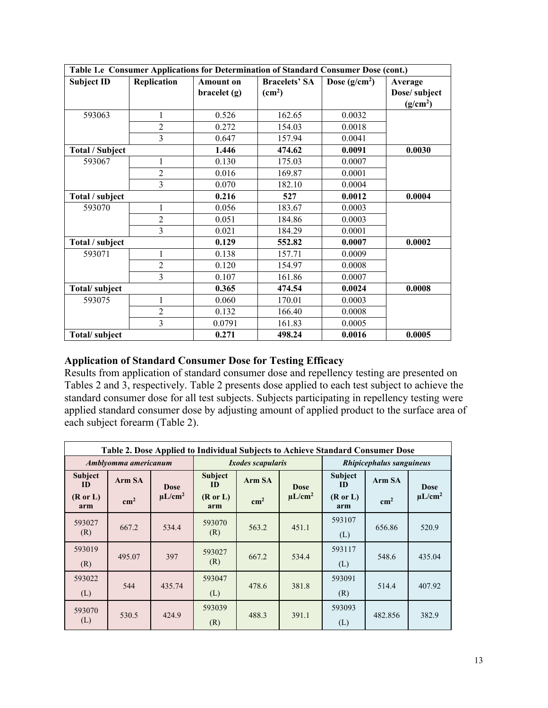|                        |                         |                  | Table 1.e Consumer Applications for Determination of Standard Consumer Dose (cont.) |                |                      |
|------------------------|-------------------------|------------------|-------------------------------------------------------------------------------------|----------------|----------------------|
| <b>Subject ID</b>      | Replication             | <b>Amount on</b> | <b>Bracelets' SA</b>                                                                | Dose $(g/cm2)$ | Average              |
|                        |                         | braclet(g)       | (cm <sup>2</sup> )                                                                  |                | Dose/ subject        |
|                        |                         |                  |                                                                                     |                | (g/cm <sup>2</sup> ) |
| 593063                 | 1                       | 0.526            | 162.65                                                                              | 0.0032         |                      |
|                        | $\overline{c}$          | 0.272            | 154.03                                                                              | 0.0018         |                      |
|                        | $\overline{3}$          | 0.647            | 157.94                                                                              | 0.0041         |                      |
| <b>Total / Subject</b> |                         | 1.446            | 474.62                                                                              | 0.0091         | 0.0030               |
| 593067                 | 1                       | 0.130            | 175.03                                                                              | 0.0007         |                      |
|                        | $\overline{2}$          | 0.016            | 169.87                                                                              | 0.0001         |                      |
|                        | 3                       | 0.070            | 182.10                                                                              | 0.0004         |                      |
| Total / subject        |                         | 0.216            | 527                                                                                 | 0.0012         | 0.0004               |
| 593070                 | 1                       | 0.056            | 183.67                                                                              | 0.0003         |                      |
|                        | $\overline{2}$          | 0.051            | 184.86                                                                              | 0.0003         |                      |
|                        | 3                       | 0.021            | 184.29                                                                              | 0.0001         |                      |
| Total / subject        |                         | 0.129            | 552.82                                                                              | 0.0007         | 0.0002               |
| 593071                 | $\mathbf{1}$            | 0.138            | 157.71                                                                              | 0.0009         |                      |
|                        | $\overline{2}$          | 0.120            | 154.97                                                                              | 0.0008         |                      |
|                        | 3                       | 0.107            | 161.86                                                                              | 0.0007         |                      |
| Total/subject          |                         | 0.365            | 474.54                                                                              | 0.0024         | 0.0008               |
| 593075                 | 1                       | 0.060            | 170.01                                                                              | 0.0003         |                      |
|                        | $\overline{2}$          | 0.132            | 166.40                                                                              | 0.0008         |                      |
|                        | $\overline{\mathbf{3}}$ | 0.0791           | 161.83                                                                              | 0.0005         |                      |
| Total/subject          |                         | 0.271            | 498.24                                                                              | 0.0016         | 0.0005               |

# **Application of Standard Consumer Dose for Testing Efficacy**

Results from application of standard consumer dose and repellency testing are presented on Tables 2 and 3, respectively. Table 2 presents dose applied to each test subject to achieve the standard consumer dose for all test subjects. Subjects participating in repellency testing were applied standard consumer dose by adjusting amount of applied product to the surface area of each subject forearm (Table 2).

|                                                           | Table 2. Dose Applied to Individual Subjects to Achieve Standard Consumer Dose |                             |                                                    |                          |                             |                                                    |                          |                             |  |
|-----------------------------------------------------------|--------------------------------------------------------------------------------|-----------------------------|----------------------------------------------------|--------------------------|-----------------------------|----------------------------------------------------|--------------------------|-----------------------------|--|
|                                                           | Amblyomma americanum                                                           |                             |                                                    | <i>Ixodes scapularis</i> |                             |                                                    | Rhipicephalus sanguineus |                             |  |
| <b>Subject</b><br><b>ID</b><br>$(R \text{ or } L)$<br>arm | Arm SA<br>$\rm cm^2$                                                           | <b>Dose</b><br>$\mu L/cm^2$ | <b>Subject</b><br>ID<br>$(R \text{ or } L)$<br>arm | Arm SA<br>$\rm cm^2$     | <b>Dose</b><br>$\mu L/cm^2$ | <b>Subject</b><br>ID<br>$(R \text{ or } L)$<br>arm | Arm SA<br>$\rm cm^2$     | <b>Dose</b><br>$\mu L/cm^2$ |  |
| 593027<br>(R)                                             | 667.2                                                                          | 534.4                       | 593070<br>(R)                                      | 563.2                    | 451.1                       | 593107<br>(L)                                      | 656.86                   | 520.9                       |  |
| 593019<br>(R)                                             | 495.07                                                                         | 397                         | 593027<br>(R)                                      | 667.2                    | 534.4                       | 593117<br>(L)                                      | 548.6                    | 435.04                      |  |
| 593022<br>(L)                                             | 544                                                                            | 435.74                      | 593047<br>(L)                                      | 478.6                    | 381.8                       | 593091<br>(R)                                      | 514.4                    | 407.92                      |  |
| 593070<br>(L)                                             | 530.5                                                                          | 424.9                       | 593039<br>(R)                                      | 488.3                    | 391.1                       | 593093<br>(L)                                      | 482.856                  | 382.9                       |  |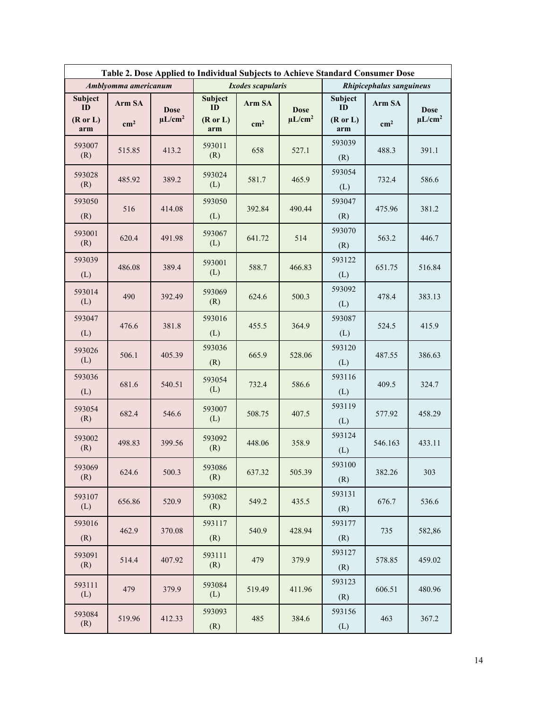|                            | Table 2. Dose Applied to Individual Subjects to Achieve Standard Consumer Dose |              |                      |                          |              |                            |               |              |  |
|----------------------------|--------------------------------------------------------------------------------|--------------|----------------------|--------------------------|--------------|----------------------------|---------------|--------------|--|
|                            | Amblyomma americanum                                                           |              |                      | <b>Ixodes scapularis</b> |              | Rhipicephalus sanguineus   |               |              |  |
| Subject<br>ID              | Arm SA                                                                         | <b>Dose</b>  | <b>Subject</b><br>ID | Arm SA                   | <b>Dose</b>  | Subject<br>ID              | Arm SA        | <b>Dose</b>  |  |
| $(R \text{ or } L)$<br>arm | $\rm cm^2$                                                                     | $\mu L/cm^2$ | (Ror L)<br>arm       | $\rm cm^2$               | $\mu L/cm^2$ | $(R \text{ or } L)$<br>arm | $\text{cm}^2$ | $\mu L/cm^2$ |  |
| 593007<br>(R)              | 515.85                                                                         | 413.2        | 593011<br>(R)        | 658                      | 527.1        | 593039<br>(R)              | 488.3         | 391.1        |  |
| 593028<br>(R)              | 485.92                                                                         | 389.2        | 593024<br>(L)        | 581.7                    | 465.9        | 593054<br>(L)              | 732.4         | 586.6        |  |
| 593050<br>(R)              | 516                                                                            | 414.08       | 593050<br>(L)        | 392.84                   | 490.44       | 593047<br>(R)              | 475.96        | 381.2        |  |
| 593001<br>(R)              | 620.4                                                                          | 491.98       | 593067<br>(L)        | 641.72                   | 514          | 593070<br>(R)              | 563.2         | 446.7        |  |
| 593039<br>(L)              | 486.08                                                                         | 389.4        | 593001<br>(L)        | 588.7                    | 466.83       | 593122<br>(L)              | 651.75        | 516.84       |  |
| 593014<br>(L)              | 490                                                                            | 392.49       | 593069<br>(R)        | 624.6                    | 500.3        | 593092<br>(L)              | 478.4         | 383.13       |  |
| 593047<br>(L)              | 476.6                                                                          | 381.8        | 593016<br>(L)        | 455.5                    | 364.9        | 593087<br>(L)              | 524.5         | 415.9        |  |
| 593026<br>(L)              | 506.1                                                                          | 405.39       | 593036<br>(R)        | 665.9                    | 528.06       | 593120<br>(L)              | 487.55        | 386.63       |  |
| 593036<br>(L)              | 681.6                                                                          | 540.51       | 593054<br>(L)        | 732.4                    | 586.6        | 593116<br>(L)              | 409.5         | 324.7        |  |
| 593054<br>(R)              | 682.4                                                                          | 546.6        | 593007<br>(L)        | 508.75                   | 407.5        | 593119<br>(L)              | 577.92        | 458.29       |  |
| 593002<br>(R)              | 498.83                                                                         | 399.56       | 593092<br>(R)        | 448.06                   | 358.9        | 593124<br>(L)              | 546.163       | 433.11       |  |
| 593069<br>(R)              | 624.6                                                                          | 500.3        | 593086<br>(R)        | 637.32                   | 505.39       | 593100<br>(R)              | 382.26        | 303          |  |
| 593107<br>(L)              | 656.86                                                                         | 520.9        | 593082<br>(R)        | 549.2                    | 435.5        | 593131<br>(R)              | 676.7         | 536.6        |  |
| 593016<br>(R)              | 462.9                                                                          | 370.08       | 593117<br>(R)        | 540.9                    | 428.94       | 593177<br>(R)              | 735           | 582,86       |  |
| 593091<br>(R)              | 514.4                                                                          | 407.92       | 593111<br>(R)        | 479                      | 379.9        | 593127<br>(R)              | 578.85        | 459.02       |  |
| 593111<br>(L)              | 479                                                                            | 379.9        | 593084<br>(L)        | 519.49                   | 411.96       | 593123<br>(R)              | 606.51        | 480.96       |  |
| 593084<br>(R)              | 519.96                                                                         | 412.33       | 593093<br>(R)        | 485                      | 384.6        | 593156<br>(L)              | 463           | 367.2        |  |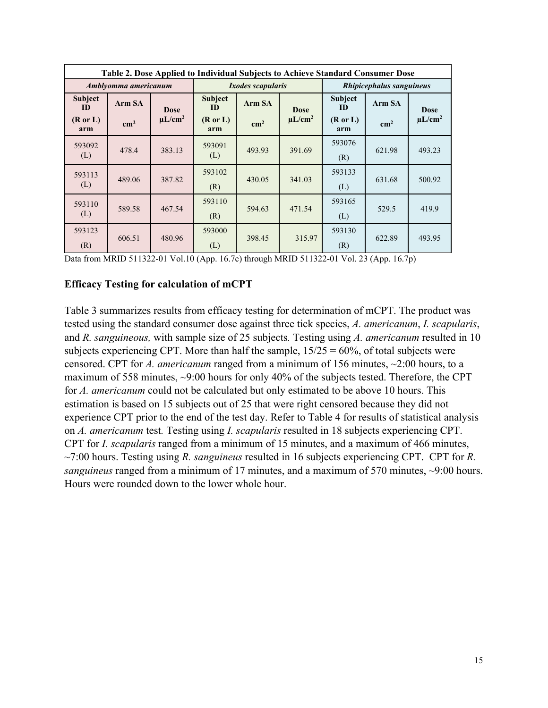|                                             | Table 2. Dose Applied to Individual Subjects to Achieve Standard Consumer Dose |                             |                                                    |                          |                             |                                                    |                          |                             |  |
|---------------------------------------------|--------------------------------------------------------------------------------|-----------------------------|----------------------------------------------------|--------------------------|-----------------------------|----------------------------------------------------|--------------------------|-----------------------------|--|
| Amblyomma americanum                        |                                                                                |                             |                                                    | <i>Ixodes scapularis</i> |                             |                                                    | Rhipicephalus sanguineus |                             |  |
| Subject<br>ID<br>$(R \text{ or } L)$<br>arm | Arm SA<br>$\rm cm^2$                                                           | <b>Dose</b><br>$\mu L/cm^2$ | <b>Subject</b><br>ID<br>$(R \text{ or } L)$<br>arm | Arm SA<br>$\rm cm^2$     | <b>Dose</b><br>$\mu L/cm^2$ | <b>Subject</b><br>ID<br>$(R \text{ or } L)$<br>arm | Arm SA<br>$\rm cm^2$     | <b>Dose</b><br>$\mu L/cm^2$ |  |
| 593092<br>(L)                               | 478.4                                                                          | 383.13                      | 593091<br>(L)                                      | 493.93                   | 391.69                      | 593076<br>(R)                                      | 621.98                   | 493.23                      |  |
| 593113<br>(L)                               | 489.06                                                                         | 387.82                      | 593102<br>(R)                                      | 430.05                   | 341.03                      | 593133<br>(L)                                      | 631.68                   | 500.92                      |  |
| 593110<br>(L)                               | 589.58                                                                         | 467.54                      | 593110<br>(R)                                      | 594.63                   | 471.54                      | 593165<br>(L)                                      | 529.5                    | 419.9                       |  |
| 593123<br>(R)                               | 606.51                                                                         | 480.96                      | 593000<br>(L)                                      | 398.45                   | 315.97                      | 593130<br>(R)                                      | 622.89                   | 493.95                      |  |

Data from MRID 511322-01 Vol.10 (App. 16.7c) through MRID 511322-01 Vol. 23 (App. 16.7p)

### **Efficacy Testing for calculation of mCPT**

Table 3 summarizes results from efficacy testing for determination of mCPT. The product was tested using the standard consumer dose against three tick species, *A. americanum*, *I. scapularis*, and *R. sanguineous,* with sample size of 25 subjects*.* Testing using *A. americanum* resulted in 10 subjects experiencing CPT. More than half the sample,  $15/25 = 60\%$ , of total subjects were censored. CPT for *A. americanum* ranged from a minimum of 156 minutes, ~2:00 hours, to a maximum of 558 minutes, ~9:00 hours for only 40% of the subjects tested. Therefore, the CPT for *A. americanum* could not be calculated but only estimated to be above 10 hours. This estimation is based on 15 subjects out of 25 that were right censored because they did not experience CPT prior to the end of the test day. Refer to Table 4 for results of statistical analysis on *A. americanum* test*.* Testing using *I. scapularis* resulted in 18 subjects experiencing CPT. CPT for *I. scapularis* ranged from a minimum of 15 minutes, and a maximum of 466 minutes, ~7:00 hours. Testing using *R. sanguineus* resulted in 16 subjects experiencing CPT. CPT for *R. sanguineus* ranged from a minimum of 17 minutes, and a maximum of 570 minutes, ~9:00 hours. Hours were rounded down to the lower whole hour.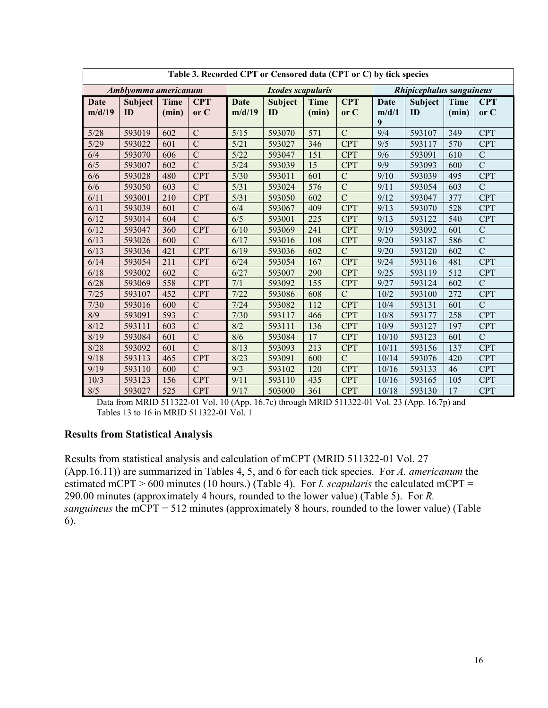|                | Table 3. Recorded CPT or Censored data (CPT or C) by tick species |                      |                    |                       |                          |                      |                    |               |                          |                      |                    |
|----------------|-------------------------------------------------------------------|----------------------|--------------------|-----------------------|--------------------------|----------------------|--------------------|---------------|--------------------------|----------------------|--------------------|
|                | Amblyomma americanum                                              |                      |                    |                       | <i>Ixodes scapularis</i> |                      |                    |               | Rhipicephalus sanguineus |                      |                    |
| Date<br>m/d/19 | <b>Subject</b><br>ID                                              | <b>Time</b><br>(min) | <b>CPT</b><br>or C | <b>Date</b><br>m/d/19 | <b>Subject</b><br>ID     | <b>Time</b><br>(min) | <b>CPT</b><br>or C | Date<br>m/d/1 | Subject<br>ID            | <b>Time</b><br>(min) | <b>CPT</b><br>or C |
|                |                                                                   |                      |                    |                       |                          |                      |                    | 9             |                          |                      |                    |
| 5/28           | 593019                                                            | 602                  | $\mathcal{C}$      | 5/15                  | 593070                   | 571                  | $\overline{C}$     | 9/4           | 593107                   | 349                  | <b>CPT</b>         |
| 5/29           | 593022                                                            | 601                  | $\overline{C}$     | 5/21                  | 593027                   | 346                  | <b>CPT</b>         | 9/5           | 593117                   | 570                  | <b>CPT</b>         |
| 6/4            | 593070                                                            | 606                  | $\mathcal{C}$      | 5/22                  | 593047                   | 151                  | <b>CPT</b>         | 9/6           | 593091                   | 610                  | $\mathbf C$        |
| 6/5            | 593007                                                            | 602                  | $\overline{C}$     | 5/24                  | 593039                   | 15                   | <b>CPT</b>         | 9/9           | 593093                   | 600                  | $\overline{C}$     |
| 6/6            | 593028                                                            | 480                  | <b>CPT</b>         | $5/30$                | 593011                   | 601                  | $\mathbf C$        | 9/10          | 593039                   | 495                  | <b>CPT</b>         |
| 6/6            | 593050                                                            | 603                  | $\mathcal{C}$      | 5/31                  | 593024                   | 576                  | $\overline{C}$     | 9/11          | 593054                   | 603                  | $\mathcal{C}$      |
| 6/11           | 593001                                                            | 210                  | <b>CPT</b>         | 5/31                  | 593050                   | 602                  | $\overline{C}$     | 9/12          | 593047                   | 377                  | <b>CPT</b>         |
| 6/11           | 593039                                                            | 601                  | $\overline{C}$     | 6/4                   | 593067                   | 409                  | <b>CPT</b>         | 9/13          | 593070                   | 528                  | <b>CPT</b>         |
| 6/12           | 593014                                                            | 604                  | $\mathcal{C}$      | 6/5                   | 593001                   | 225                  | <b>CPT</b>         | 9/13          | 593122                   | 540                  | <b>CPT</b>         |
| 6/12           | 593047                                                            | 360                  | <b>CPT</b>         | 6/10                  | 593069                   | 241                  | <b>CPT</b>         | 9/19          | 593092                   | 601                  | $\overline{C}$     |
| 6/13           | 593026                                                            | 600                  | $\mathcal{C}$      | 6/17                  | 593016                   | 108                  | <b>CPT</b>         | 9/20          | 593187                   | 586                  | $\overline{C}$     |
| 6/13           | 593036                                                            | 421                  | <b>CPT</b>         | 6/19                  | 593036                   | 602                  | $\overline{C}$     | 9/20          | 593120                   | 602                  | $\overline{C}$     |
| 6/14           | 593054                                                            | 211                  | <b>CPT</b>         | 6/24                  | 593054                   | 167                  | <b>CPT</b>         | 9/24          | 593116                   | 481                  | <b>CPT</b>         |
| 6/18           | 593002                                                            | 602                  | $\overline{C}$     | 6/27                  | 593007                   | 290                  | <b>CPT</b>         | 9/25          | 593119                   | 512                  | <b>CPT</b>         |
| 6/28           | 593069                                                            | 558                  | <b>CPT</b>         | 7/1                   | 593092                   | 155                  | <b>CPT</b>         | 9/27          | 593124                   | 602                  | $\overline{C}$     |
| 7/25           | 593107                                                            | 452                  | <b>CPT</b>         | 7/22                  | 593086                   | 608                  | $\mathcal{C}$      | 10/2          | 593100                   | 272                  | <b>CPT</b>         |
| $7/30$         | 593016                                                            | 600                  | $\overline{C}$     | 7/24                  | 593082                   | 112                  | <b>CPT</b>         | 10/4          | 593131                   | 601                  | $\overline{C}$     |
| 8/9            | 593091                                                            | 593                  | $\overline{C}$     | 7/30                  | 593117                   | 466                  | <b>CPT</b>         | 10/8          | 593177                   | 258                  | <b>CPT</b>         |
| 8/12           | 593111                                                            | 603                  | $\mathcal{C}$      | 8/2                   | 593111                   | 136                  | <b>CPT</b>         | 10/9          | 593127                   | 197                  | <b>CPT</b>         |
| 8/19           | 593084                                                            | 601                  | $\mathbf C$        | 8/6                   | 593084                   | 17                   | <b>CPT</b>         | 10/10         | 593123                   | 601                  | $\mathcal{C}$      |
| 8/28           | 593092                                                            | 601                  | $\overline{C}$     | 8/13                  | 593093                   | 213                  | <b>CPT</b>         | 10/11         | 593156                   | 137                  | <b>CPT</b>         |
| 9/18           | 593113                                                            | 465                  | <b>CPT</b>         | 8/23                  | 593091                   | 600                  | $\mathcal{C}$      | 10/14         | 593076                   | 420                  | <b>CPT</b>         |
| 9/19           | 593110                                                            | 600                  | $\mathcal{C}$      | 9/3                   | 593102                   | 120                  | <b>CPT</b>         | 10/16         | 593133                   | 46                   | <b>CPT</b>         |
| 10/3           | 593123                                                            | 156                  | <b>CPT</b>         | 9/11                  | 593110                   | 435                  | <b>CPT</b>         | 10/16         | 593165                   | 105                  | <b>CPT</b>         |
| 8/5            | 593027                                                            | 525                  | <b>CPT</b>         | 9/17                  | 503000                   | 361                  | <b>CPT</b>         | 10/18         | 593130                   | 17                   | <b>CPT</b>         |

Data from MRID 511322-01 Vol. 10 (App. 16.7c) through MRID 511322-01 Vol. 23 (App. 16.7p) and Tables 13 to 16 in MRID 511322-01 Vol. 1

### **Results from Statistical Analysis**

Results from statistical analysis and calculation of mCPT (MRID 511322-01 Vol. 27 (App.16.11)) are summarized in Tables 4, 5, and 6 for each tick species. For *A. americanum* the estimated mCPT > 600 minutes (10 hours.) (Table 4). For *I. scapularis* the calculated mCPT = 290.00 minutes (approximately 4 hours, rounded to the lower value) (Table 5). For *R. sanguineus* the mCPT = 512 minutes (approximately 8 hours, rounded to the lower value) (Table 6).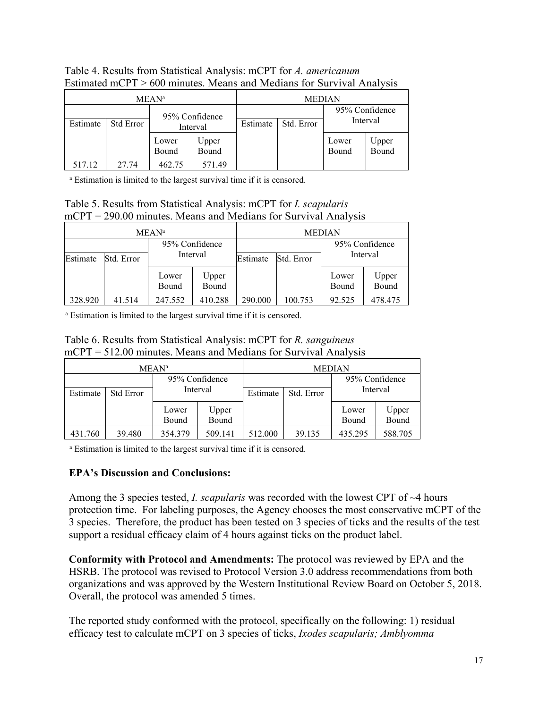|          |                  | MEAN <sup>a</sup> |        |                            | <b>MEDIAN</b> |       |                |
|----------|------------------|-------------------|--------|----------------------------|---------------|-------|----------------|
|          |                  | 95% Confidence    |        | 95% Confidence<br>Interval |               |       |                |
| Estimate | <b>Std Error</b> | Interval          |        | Estimate                   | Std. Error    |       |                |
|          |                  | Lower             | Upper  |                            |               | Lower | Upper<br>Bound |
|          |                  | Bound             | Bound  |                            |               | Bound |                |
| 517.12   | 27.74            | 462.75            | 571.49 |                            |               |       |                |

Table 4. Results from Statistical Analysis: mCPT for *A. americanum* Estimated mCPT > 600 minutes. Means and Medians for Survival Analysis

<sup>a</sup> Estimation is limited to the largest survival time if it is censored.

| Table 5. Results from Statistical Analysis: mCPT for <i>I. scapularis</i> |  |
|---------------------------------------------------------------------------|--|
| $mCPT = 290.00$ minutes. Means and Medians for Survival Analysis          |  |

|          |            | <b>MEAN</b> <sup>a</sup> |                | <b>MEDIAN</b> |            |                            |                |
|----------|------------|--------------------------|----------------|---------------|------------|----------------------------|----------------|
|          |            | 95% Confidence           |                |               |            | 95% Confidence<br>Interval |                |
| Estimate | Std. Error | Interval                 |                | Estimate      | Std. Error |                            |                |
|          |            | Lower<br>Bound           | Upper<br>Bound |               |            | Lower<br>Bound             | Upper<br>Bound |
| 328.920  | 41.514     | 247.552                  | 410.288        | 290.000       | 100.753    | 92.525                     | 478.475        |

<sup>a</sup> Estimation is limited to the largest survival time if it is censored.

Table 6. Results from Statistical Analysis: mCPT for *R. sanguineus* mCPT = 512.00 minutes. Means and Medians for Survival Analysis

| MEAN <sup>a</sup> |                  |                |                | <b>MEDIAN</b> |            |                |                |
|-------------------|------------------|----------------|----------------|---------------|------------|----------------|----------------|
|                   |                  | 95% Confidence |                |               |            | 95% Confidence |                |
| Estimate          | <b>Std Error</b> | Interval       |                | Estimate      | Std. Error | Interval       |                |
|                   |                  | Lower<br>Bound | Upper<br>Bound |               |            | Lower<br>Bound | Upper<br>Bound |
| 431.760           | 39.480           | 354.379        | 509.141        | 512.000       | 39.135     | 435.295        | 588.705        |

<sup>a</sup> Estimation is limited to the largest survival time if it is censored.

## **EPA's Discussion and Conclusions:**

Among the 3 species tested, *I. scapularis* was recorded with the lowest CPT of ~4 hours protection time. For labeling purposes, the Agency chooses the most conservative mCPT of the 3 species. Therefore, the product has been tested on 3 species of ticks and the results of the test support a residual efficacy claim of 4 hours against ticks on the product label.

**Conformity with Protocol and Amendments:** The protocol was reviewed by EPA and the HSRB. The protocol was revised to Protocol Version 3.0 address recommendations from both organizations and was approved by the Western Institutional Review Board on October 5, 2018. Overall, the protocol was amended 5 times.

The reported study conformed with the protocol, specifically on the following: 1) residual efficacy test to calculate mCPT on 3 species of ticks, *Ixodes scapularis; Amblyomma*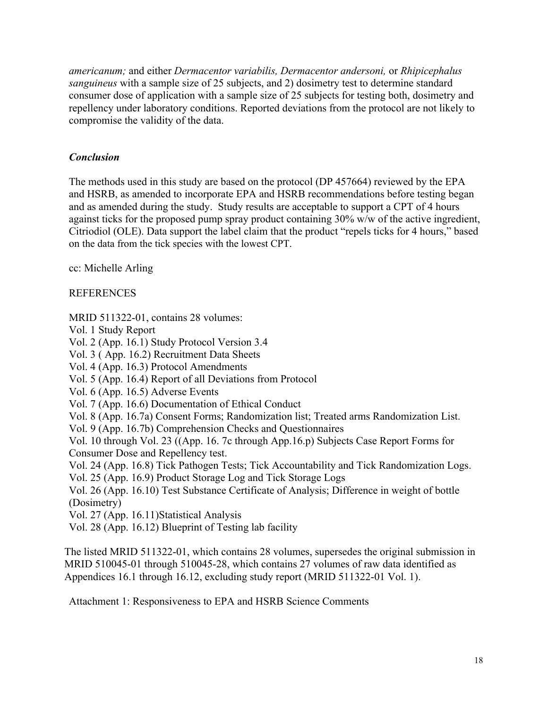*americanum;* and either *Dermacentor variabilis, Dermacentor andersoni,* or *Rhipicephalus sanguineus* with a sample size of 25 subjects, and 2) dosimetry test to determine standard consumer dose of application with a sample size of 25 subjects for testing both, dosimetry and repellency under laboratory conditions. Reported deviations from the protocol are not likely to compromise the validity of the data.

## *Conclusion*

The methods used in this study are based on the protocol (DP 457664) reviewed by the EPA and HSRB, as amended to incorporate EPA and HSRB recommendations before testing began and as amended during the study. Study results are acceptable to support a CPT of 4 hours against ticks for the proposed pump spray product containing 30% w/w of the active ingredient, Citriodiol (OLE). Data support the label claim that the product "repels ticks for 4 hours," based on the data from the tick species with the lowest CPT.

cc: Michelle Arling

## REFERENCES

MRID 511322-01, contains 28 volumes:

Vol. 1 Study Report

Vol. 2 (App. 16.1) Study Protocol Version 3.4

Vol. 3 ( App. 16.2) Recruitment Data Sheets

Vol. 4 (App. 16.3) Protocol Amendments

Vol. 5 (App. 16.4) Report of all Deviations from Protocol

Vol. 6 (App. 16.5) Adverse Events

Vol. 7 (App. 16.6) Documentation of Ethical Conduct

Vol. 8 (App. 16.7a) Consent Forms; Randomization list; Treated arms Randomization List.

Vol. 9 (App. 16.7b) Comprehension Checks and Questionnaires

Vol. 10 through Vol. 23 ((App. 16. 7c through App.16.p) Subjects Case Report Forms for Consumer Dose and Repellency test.

Vol. 24 (App. 16.8) Tick Pathogen Tests; Tick Accountability and Tick Randomization Logs.

Vol. 25 (App. 16.9) Product Storage Log and Tick Storage Logs

Vol. 26 (App. 16.10) Test Substance Certificate of Analysis; Difference in weight of bottle (Dosimetry)

Vol. 27 (App. 16.11)Statistical Analysis

Vol. 28 (App. 16.12) Blueprint of Testing lab facility

The listed MRID 511322-01, which contains 28 volumes, supersedes the original submission in MRID 510045-01 through 510045-28, which contains 27 volumes of raw data identified as Appendices 16.1 through 16.12, excluding study report (MRID 511322-01 Vol. 1).

Attachment 1: Responsiveness to EPA and HSRB Science Comments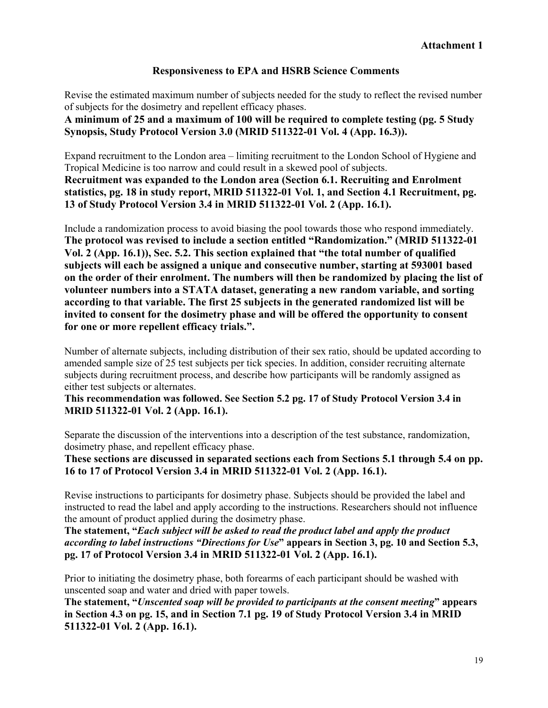### **Responsiveness to EPA and HSRB Science Comments**

Revise the estimated maximum number of subjects needed for the study to reflect the revised number of subjects for the dosimetry and repellent efficacy phases.

**A minimum of 25 and a maximum of 100 will be required to complete testing (pg. 5 Study Synopsis, Study Protocol Version 3.0 (MRID 511322-01 Vol. 4 (App. 16.3)).** 

Expand recruitment to the London area – limiting recruitment to the London School of Hygiene and Tropical Medicine is too narrow and could result in a skewed pool of subjects. **Recruitment was expanded to the London area (Section 6.1. Recruiting and Enrolment statistics, pg. 18 in study report, MRID 511322-01 Vol. 1, and Section 4.1 Recruitment, pg. 13 of Study Protocol Version 3.4 in MRID 511322-01 Vol. 2 (App. 16.1).**

Include a randomization process to avoid biasing the pool towards those who respond immediately. **The protocol was revised to include a section entitled "Randomization." (MRID 511322-01 Vol. 2 (App. 16.1)), Sec. 5.2. This section explained that "the total number of qualified subjects will each be assigned a unique and consecutive number, starting at 593001 based on the order of their enrolment. The numbers will then be randomized by placing the list of volunteer numbers into a STATA dataset, generating a new random variable, and sorting according to that variable. The first 25 subjects in the generated randomized list will be invited to consent for the dosimetry phase and will be offered the opportunity to consent for one or more repellent efficacy trials.".** 

Number of alternate subjects, including distribution of their sex ratio, should be updated according to amended sample size of 25 test subjects per tick species. In addition, consider recruiting alternate subjects during recruitment process, and describe how participants will be randomly assigned as either test subjects or alternates.

**This recommendation was followed. See Section 5.2 pg. 17 of Study Protocol Version 3.4 in MRID 511322-01 Vol. 2 (App. 16.1).** 

Separate the discussion of the interventions into a description of the test substance, randomization, dosimetry phase, and repellent efficacy phase.

**These sections are discussed in separated sections each from Sections 5.1 through 5.4 on pp. 16 to 17 of Protocol Version 3.4 in MRID 511322-01 Vol. 2 (App. 16.1).** 

Revise instructions to participants for dosimetry phase. Subjects should be provided the label and instructed to read the label and apply according to the instructions. Researchers should not influence the amount of product applied during the dosimetry phase.

**The statement, "***Each subject will be asked to read the product label and apply the product according to label instructions "Directions for Use***" appears in Section 3, pg. 10 and Section 5.3, pg. 17 of Protocol Version 3.4 in MRID 511322-01 Vol. 2 (App. 16.1).** 

Prior to initiating the dosimetry phase, both forearms of each participant should be washed with unscented soap and water and dried with paper towels.

**The statement, "***Unscented soap will be provided to participants at the consent meeting***" appears in Section 4.3 on pg. 15, and in Section 7.1 pg. 19 of Study Protocol Version 3.4 in MRID 511322-01 Vol. 2 (App. 16.1).**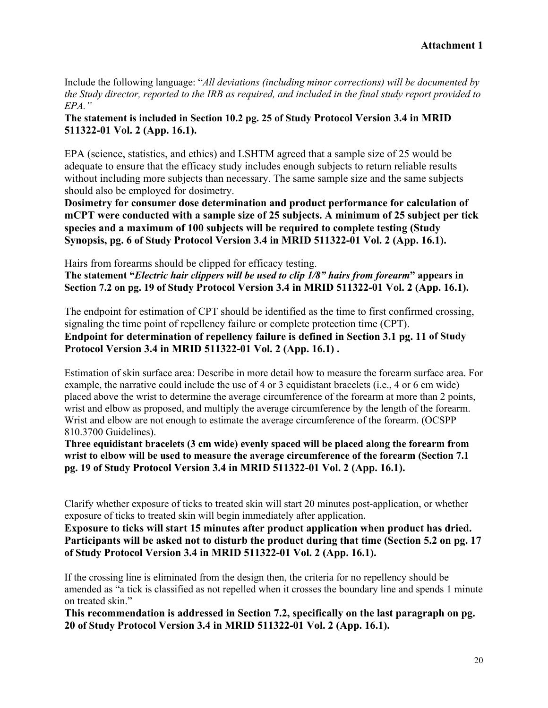Include the following language: "*All deviations (including minor corrections) will be documented by the Study director, reported to the IRB as required, and included in the final study report provided to EPA."* 

### **The statement is included in Section 10.2 pg. 25 of Study Protocol Version 3.4 in MRID 511322-01 Vol. 2 (App. 16.1).**

EPA (science, statistics, and ethics) and LSHTM agreed that a sample size of 25 would be adequate to ensure that the efficacy study includes enough subjects to return reliable results without including more subjects than necessary. The same sample size and the same subjects should also be employed for dosimetry.

**Dosimetry for consumer dose determination and product performance for calculation of mCPT were conducted with a sample size of 25 subjects. A minimum of 25 subject per tick species and a maximum of 100 subjects will be required to complete testing (Study Synopsis, pg. 6 of Study Protocol Version 3.4 in MRID 511322-01 Vol. 2 (App. 16.1).** 

Hairs from forearms should be clipped for efficacy testing. **The statement "***Electric hair clippers will be used to clip 1/8" hairs from forearm***" appears in Section 7.2 on pg. 19 of Study Protocol Version 3.4 in MRID 511322-01 Vol. 2 (App. 16.1).** 

The endpoint for estimation of CPT should be identified as the time to first confirmed crossing, signaling the time point of repellency failure or complete protection time (CPT). **Endpoint for determination of repellency failure is defined in Section 3.1 pg. 11 of Study Protocol Version 3.4 in MRID 511322-01 Vol. 2 (App. 16.1) .** 

Estimation of skin surface area: Describe in more detail how to measure the forearm surface area. For example, the narrative could include the use of 4 or 3 equidistant bracelets (i.e., 4 or 6 cm wide) placed above the wrist to determine the average circumference of the forearm at more than 2 points, wrist and elbow as proposed, and multiply the average circumference by the length of the forearm. Wrist and elbow are not enough to estimate the average circumference of the forearm. (OCSPP 810.3700 Guidelines).

**Three equidistant bracelets (3 cm wide) evenly spaced will be placed along the forearm from wrist to elbow will be used to measure the average circumference of the forearm (Section 7.1 pg. 19 of Study Protocol Version 3.4 in MRID 511322-01 Vol. 2 (App. 16.1).** 

Clarify whether exposure of ticks to treated skin will start 20 minutes post-application, or whether exposure of ticks to treated skin will begin immediately after application.

**Exposure to ticks will start 15 minutes after product application when product has dried. Participants will be asked not to disturb the product during that time (Section 5.2 on pg. 17 of Study Protocol Version 3.4 in MRID 511322-01 Vol. 2 (App. 16.1).** 

If the crossing line is eliminated from the design then, the criteria for no repellency should be amended as "a tick is classified as not repelled when it crosses the boundary line and spends 1 minute on treated skin."

**This recommendation is addressed in Section 7.2, specifically on the last paragraph on pg. 20 of Study Protocol Version 3.4 in MRID 511322-01 Vol. 2 (App. 16.1).**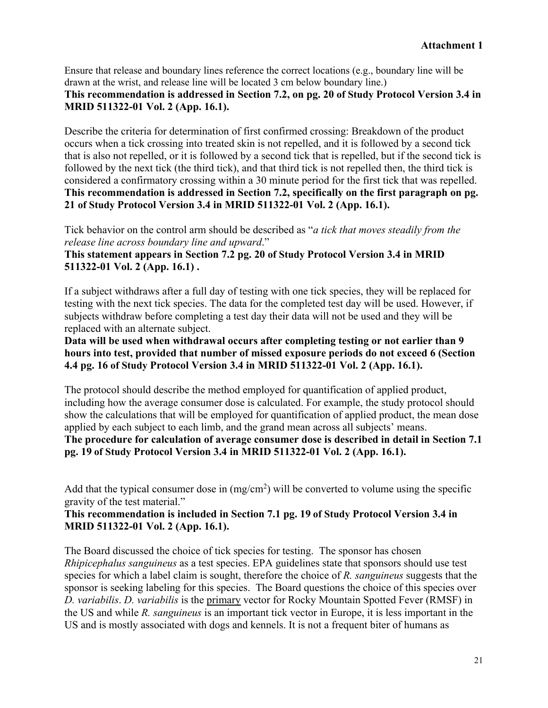Ensure that release and boundary lines reference the correct locations (e.g., boundary line will be drawn at the wrist, and release line will be located 3 cm below boundary line.)

## **This recommendation is addressed in Section 7.2, on pg. 20 of Study Protocol Version 3.4 in MRID 511322-01 Vol. 2 (App. 16.1).**

Describe the criteria for determination of first confirmed crossing: Breakdown of the product occurs when a tick crossing into treated skin is not repelled, and it is followed by a second tick that is also not repelled, or it is followed by a second tick that is repelled, but if the second tick is followed by the next tick (the third tick), and that third tick is not repelled then, the third tick is considered a confirmatory crossing within a 30 minute period for the first tick that was repelled. **This recommendation is addressed in Section 7.2, specifically on the first paragraph on pg. 21 of Study Protocol Version 3.4 in MRID 511322-01 Vol. 2 (App. 16.1).** 

Tick behavior on the control arm should be described as "*a tick that moves steadily from the release line across boundary line and upward*."

### **This statement appears in Section 7.2 pg. 20 of Study Protocol Version 3.4 in MRID 511322-01 Vol. 2 (App. 16.1) .**

If a subject withdraws after a full day of testing with one tick species, they will be replaced for testing with the next tick species. The data for the completed test day will be used. However, if subjects withdraw before completing a test day their data will not be used and they will be replaced with an alternate subject.

**Data will be used when withdrawal occurs after completing testing or not earlier than 9 hours into test, provided that number of missed exposure periods do not exceed 6 (Section 4.4 pg. 16 of Study Protocol Version 3.4 in MRID 511322-01 Vol. 2 (App. 16.1).**

The protocol should describe the method employed for quantification of applied product, including how the average consumer dose is calculated. For example, the study protocol should show the calculations that will be employed for quantification of applied product, the mean dose applied by each subject to each limb, and the grand mean across all subjects' means. **The procedure for calculation of average consumer dose is described in detail in Section 7.1 pg. 19 of Study Protocol Version 3.4 in MRID 511322-01 Vol. 2 (App. 16.1).**

Add that the typical consumer dose in  $(mg/cm<sup>2</sup>)$  will be converted to volume using the specific gravity of the test material."

## **This recommendation is included in Section 7.1 pg. 19 of Study Protocol Version 3.4 in MRID 511322-01 Vol. 2 (App. 16.1).**

The Board discussed the choice of tick species for testing. The sponsor has chosen *Rhipicephalus sanguineus* as a test species. EPA guidelines state that sponsors should use test species for which a label claim is sought, therefore the choice of *R. sanguineus* suggests that the sponsor is seeking labeling for this species. The Board questions the choice of this species over *D. variabilis*. *D. variabilis* is the primary vector for Rocky Mountain Spotted Fever (RMSF) in the US and while *R. sanguineus* is an important tick vector in Europe, it is less important in the US and is mostly associated with dogs and kennels. It is not a frequent biter of humans as